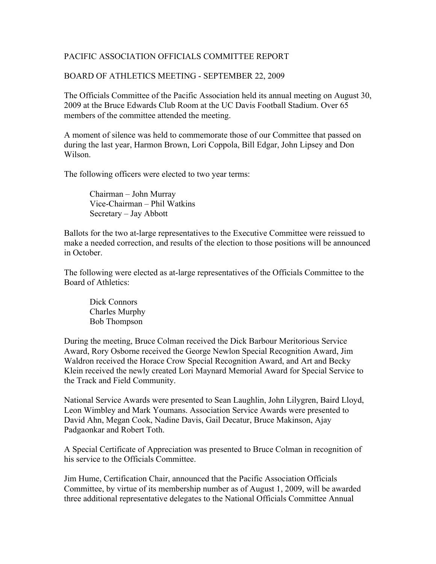## PACIFIC ASSOCIATION OFFICIALS COMMITTEE REPORT

## BOARD OF ATHLETICS MEETING - SEPTEMBER 22, 2009

The Officials Committee of the Pacific Association held its annual meeting on August 30, 2009 at the Bruce Edwards Club Room at the UC Davis Football Stadium. Over 65 members of the committee attended the meeting.

A moment of silence was held to commemorate those of our Committee that passed on during the last year, Harmon Brown, Lori Coppola, Bill Edgar, John Lipsey and Don Wilson.

The following officers were elected to two year terms:

Chairman – John Murray Vice-Chairman – Phil Watkins Secretary – Jay Abbott

Ballots for the two at-large representatives to the Executive Committee were reissued to make a needed correction, and results of the election to those positions will be announced in October.

The following were elected as at-large representatives of the Officials Committee to the Board of Athletics:

Dick Connors Charles Murphy Bob Thompson

During the meeting, Bruce Colman received the Dick Barbour Meritorious Service Award, Rory Osborne received the George Newlon Special Recognition Award, Jim Waldron received the Horace Crow Special Recognition Award, and Art and Becky Klein received the newly created Lori Maynard Memorial Award for Special Service to the Track and Field Community.

National Service Awards were presented to Sean Laughlin, John Lilygren, Baird Lloyd, Leon Wimbley and Mark Youmans. Association Service Awards were presented to David Ahn, Megan Cook, Nadine Davis, Gail Decatur, Bruce Makinson, Ajay Padgaonkar and Robert Toth.

A Special Certificate of Appreciation was presented to Bruce Colman in recognition of his service to the Officials Committee.

Jim Hume, Certification Chair, announced that the Pacific Association Officials Committee, by virtue of its membership number as of August 1, 2009, will be awarded three additional representative delegates to the National Officials Committee Annual